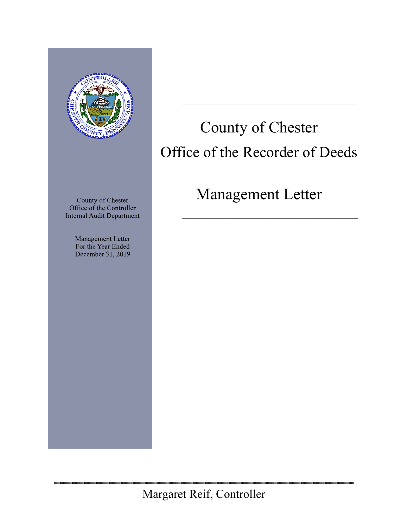

County of Chester Office of the Controller **Internal Audit Department** 

> Management Letter For the Year Ended December 31, 2019

# County of Chester Office of the Recorder of Deeds

## Management Letter

 $\mathcal{L}_\text{max}$  and  $\mathcal{L}_\text{max}$  and  $\mathcal{L}_\text{max}$  and  $\mathcal{L}_\text{max}$ 

<u>noonna moonaa maanaa maan</u>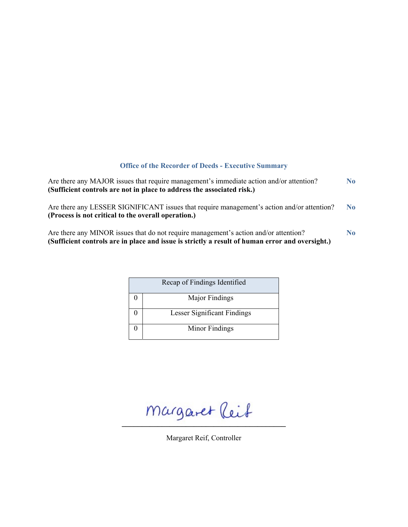### **Office of the Recorder of Deeds - Executive Summary**

| Are there any MAJOR issues that require management's immediate action and/or attention?<br>(Sufficient controls are not in place to address the associated risk.)                       |                |  |
|-----------------------------------------------------------------------------------------------------------------------------------------------------------------------------------------|----------------|--|
| Are there any LESSER SIGNIFICANT issues that require management's action and/or attention?<br>(Process is not critical to the overall operation.)                                       | N <sub>0</sub> |  |
| Are there any MINOR issues that do not require management's action and/or attention?<br>(Sufficient controls are in place and issue is strictly a result of human error and oversight.) | N <sub>0</sub> |  |

|  | Recap of Findings Identified |
|--|------------------------------|
|  | Major Findings               |
|  | Lesser Significant Findings  |
|  | Minor Findings               |

 $margaret$  leit

Margaret Reif, Controller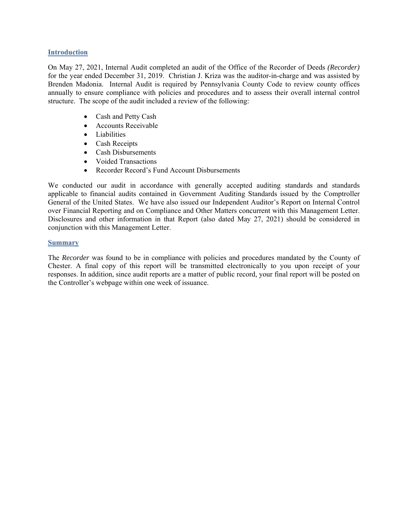#### **Introduction**

On May 27, 2021, Internal Audit completed an audit of the Office of the Recorder of Deeds *(Recorder)* for the year ended December 31, 2019. Christian J. Kriza was the auditor-in-charge and was assisted by Brenden Madonia. Internal Audit is required by Pennsylvania County Code to review county offices annually to ensure compliance with policies and procedures and to assess their overall internal control structure. The scope of the audit included a review of the following:

- Cash and Petty Cash
- Accounts Receivable
- Liabilities
- Cash Receipts
- Cash Disbursements
- Voided Transactions
- Recorder Record's Fund Account Disbursements

We conducted our audit in accordance with generally accepted auditing standards and standards applicable to financial audits contained in Government Auditing Standards issued by the Comptroller General of the United States. We have also issued our Independent Auditor's Report on Internal Control over Financial Reporting and on Compliance and Other Matters concurrent with this Management Letter. Disclosures and other information in that Report (also dated May 27, 2021) should be considered in conjunction with this Management Letter.

#### **Summary**

The *Recorder* was found to be in compliance with policies and procedures mandated by the County of Chester. A final copy of this report will be transmitted electronically to you upon receipt of your responses. In addition, since audit reports are a matter of public record, your final report will be posted on the Controller's webpage within one week of issuance.